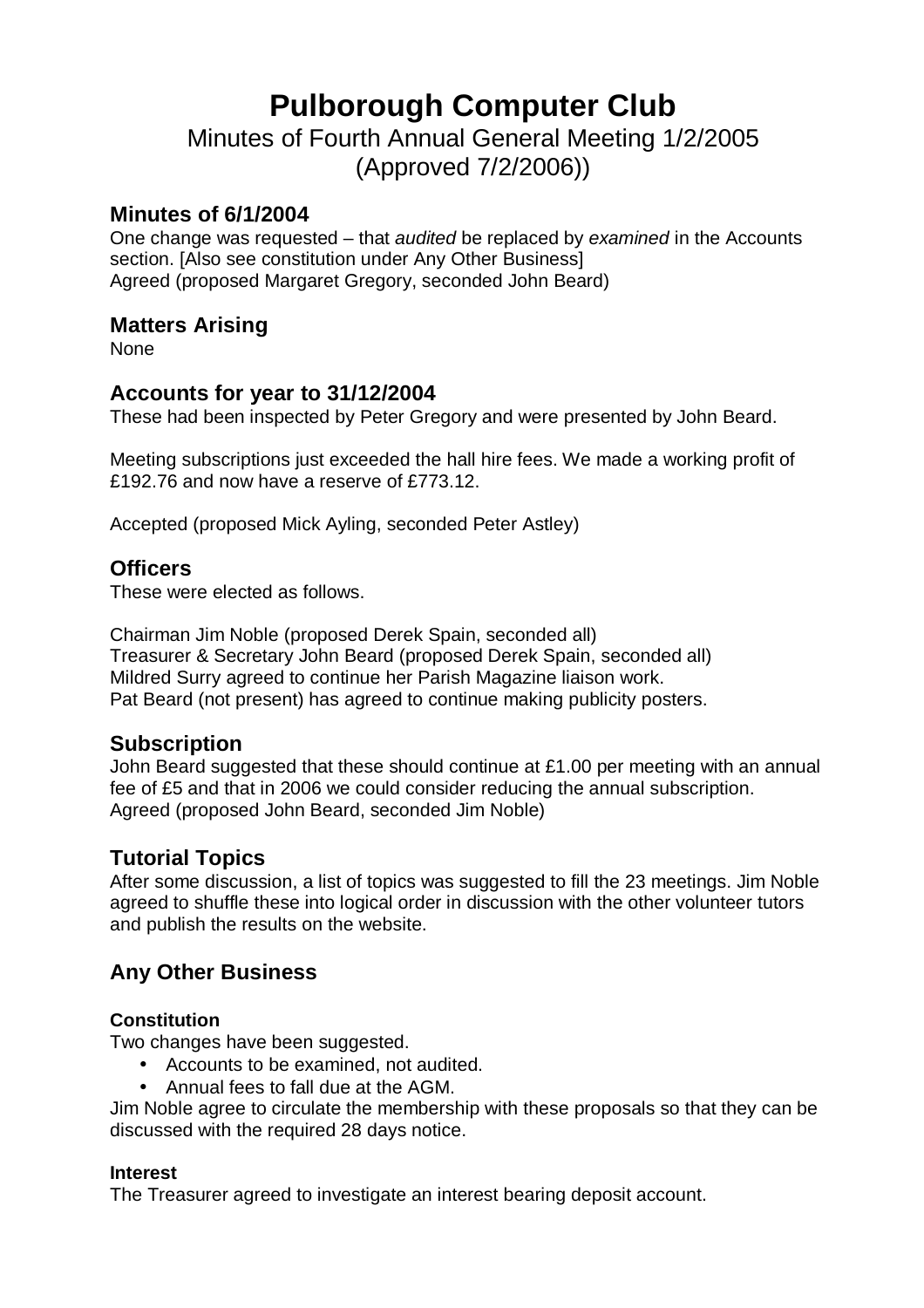# **Pulborough Computer Club**

Minutes of Fourth Annual General Meeting 1/2/2005 (Approved 7/2/2006))

#### **Minutes of 6/1/2004**

One change was requested – that *audited* be replaced by *examined* in the Accounts section. [Also see constitution under Any Other Business] Agreed (proposed Margaret Gregory, seconded John Beard)

### **Matters Arising**

None

## **Accounts for year to 31/12/2004**

These had been inspected by Peter Gregory and were presented by John Beard.

Meeting subscriptions just exceeded the hall hire fees. We made a working profit of £192.76 and now have a reserve of £773.12.

Accepted (proposed Mick Ayling, seconded Peter Astley)

#### **Officers**

These were elected as follows.

Chairman Jim Noble (proposed Derek Spain, seconded all) Treasurer & Secretary John Beard (proposed Derek Spain, seconded all) Mildred Surry agreed to continue her Parish Magazine liaison work. Pat Beard (not present) has agreed to continue making publicity posters.

## **Subscription**

John Beard suggested that these should continue at £1.00 per meeting with an annual fee of £5 and that in 2006 we could consider reducing the annual subscription. Agreed (proposed John Beard, seconded Jim Noble)

## **Tutorial Topics**

After some discussion, a list of topics was suggested to fill the 23 meetings. Jim Noble agreed to shuffle these into logical order in discussion with the other volunteer tutors and publish the results on the website.

## **Any Other Business**

#### **Constitution**

Two changes have been suggested.

- Accounts to be examined, not audited.
- Annual fees to fall due at the AGM.

Jim Noble agree to circulate the membership with these proposals so that they can be discussed with the required 28 days notice.

#### **Interest**

The Treasurer agreed to investigate an interest bearing deposit account.